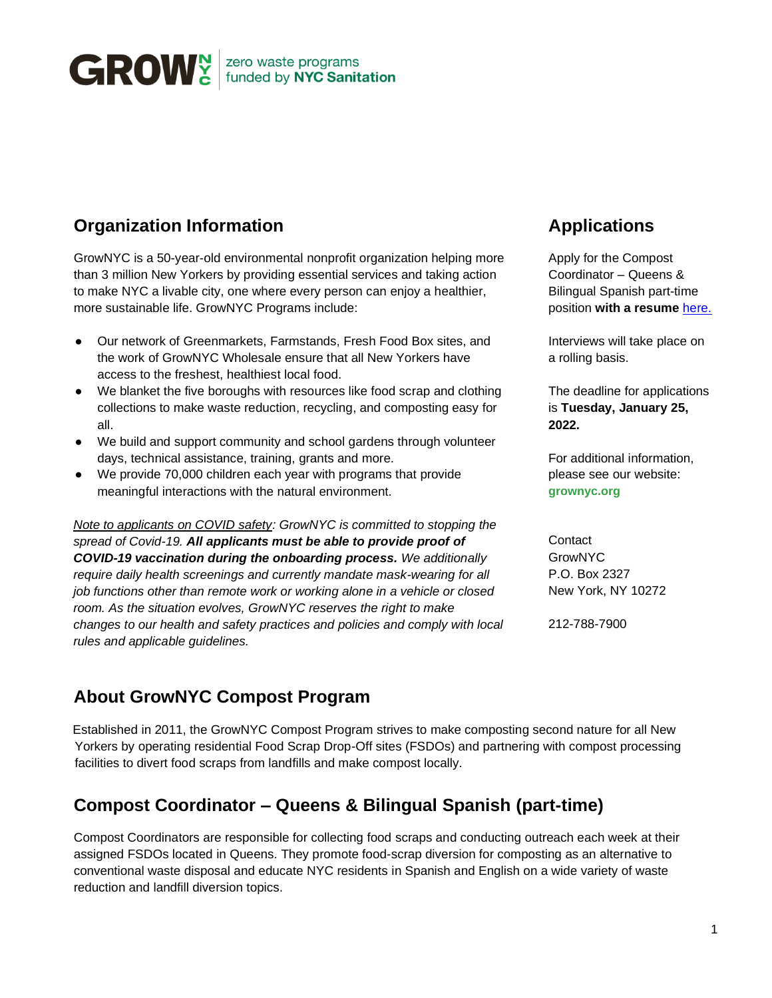

## **Organization Information**

GrowNYC is a 50-year-old environmental nonprofit organization helping more than 3 million New Yorkers by providing essential services and taking action to make NYC a livable city, one where every person can enjoy a healthier, more sustainable life. GrowNYC Programs include:

- Our network of Greenmarkets, Farmstands, Fresh Food Box sites, and the work of GrowNYC Wholesale ensure that all New Yorkers have access to the freshest, healthiest local food.
- We blanket the five boroughs with resources like food scrap and clothing collections to make waste reduction, recycling, and composting easy for all.
- We build and support community and school gardens through volunteer days, technical assistance, training, grants and more.
- We provide 70,000 children each year with programs that provide meaningful interactions with the natural environment.

*Note to applicants on COVID safety: GrowNYC is committed to stopping the spread of Covid-19. All applicants must be able to provide proof of COVID-19 vaccination during the onboarding process. We additionally require daily health screenings and currently mandate mask-wearing for all job functions other than remote work or working alone in a vehicle or closed room. As the situation evolves, GrowNYC reserves the right to make changes to our health and safety practices and policies and comply with local rules and applicable guidelines.*

## **Applications**

Apply for the Compost Coordinator – Queens & Bilingual Spanish part-time position **with a resume** [here.](https://recruiting.paylocity.com/recruiting/jobs/All/b5f607fc-8a87-4bc1-9700-014a053db58f/GrowNYC)

Interviews will take place on a rolling basis.

The deadline for applications is **Tuesday, January 25, 2022.**

For additional information, please see our website: **grownyc.org**

**Contact** GrowNYC P.O. Box 2327 New York, NY 10272

212-788-7900

#### **About GrowNYC Compost Program**

 Established in 2011, the GrowNYC Compost Program strives to make composting second nature for all New Yorkers by operating residential Food Scrap Drop-Off sites (FSDOs) and partnering with compost processing facilities to divert food scraps from landfills and make compost locally.

# **Compost Coordinator – Queens & Bilingual Spanish (part-time)**

Compost Coordinators are responsible for collecting food scraps and conducting outreach each week at their assigned FSDOs located in Queens. They promote food-scrap diversion for composting as an alternative to conventional waste disposal and educate NYC residents in Spanish and English on a wide variety of waste reduction and landfill diversion topics.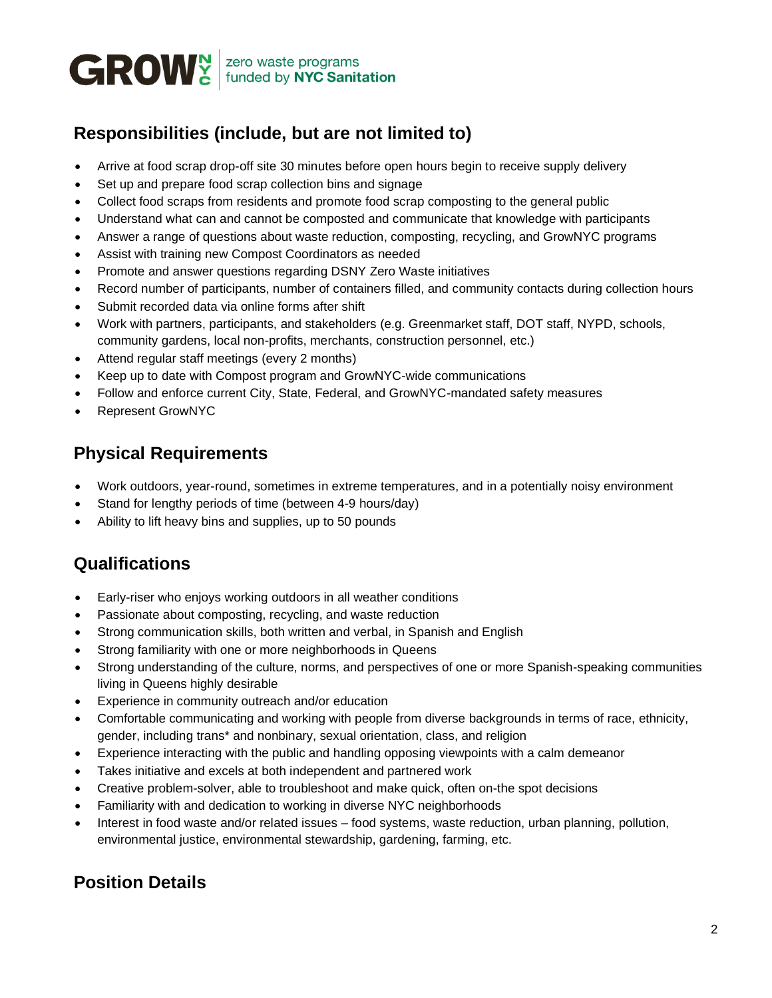

# **Responsibilities (include, but are not limited to)**

- Arrive at food scrap drop-off site 30 minutes before open hours begin to receive supply delivery
- Set up and prepare food scrap collection bins and signage
- Collect food scraps from residents and promote food scrap composting to the general public
- Understand what can and cannot be composted and communicate that knowledge with participants
- Answer a range of questions about waste reduction, composting, recycling, and GrowNYC programs
- Assist with training new Compost Coordinators as needed
- Promote and answer questions regarding DSNY Zero Waste initiatives
- Record number of participants, number of containers filled, and community contacts during collection hours
- Submit recorded data via online forms after shift
- Work with partners, participants, and stakeholders (e.g. Greenmarket staff, DOT staff, NYPD, schools, community gardens, local non-profits, merchants, construction personnel, etc.)
- Attend regular staff meetings (every 2 months)
- Keep up to date with Compost program and GrowNYC-wide communications
- Follow and enforce current City, State, Federal, and GrowNYC-mandated safety measures
- Represent GrowNYC

## **Physical Requirements**

- Work outdoors, year-round, sometimes in extreme temperatures, and in a potentially noisy environment
- Stand for lengthy periods of time (between 4-9 hours/day)
- Ability to lift heavy bins and supplies, up to 50 pounds

# **Qualifications**

- Early-riser who enjoys working outdoors in all weather conditions
- Passionate about composting, recycling, and waste reduction
- Strong communication skills, both written and verbal, in Spanish and English
- Strong familiarity with one or more neighborhoods in Queens
- Strong understanding of the culture, norms, and perspectives of one or more Spanish-speaking communities living in Queens highly desirable
- Experience in community outreach and/or education
- Comfortable communicating and working with people from diverse backgrounds in terms of race, ethnicity, gender, including trans\* and nonbinary, sexual orientation, class, and religion
- Experience interacting with the public and handling opposing viewpoints with a calm demeanor
- Takes initiative and excels at both independent and partnered work
- Creative problem-solver, able to troubleshoot and make quick, often on-the spot decisions
- Familiarity with and dedication to working in diverse NYC neighborhoods
- Interest in food waste and/or related issues food systems, waste reduction, urban planning, pollution, environmental justice, environmental stewardship, gardening, farming, etc.

# **Position Details**